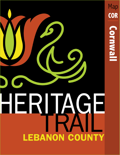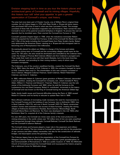Envision stepping back in time as you tour the historic places and architectural gems of Cornwall and its mining villages. Hopefully, this historic tour will 'whet your appetite' to gain a greater appreciation of Cornwall's unique, vast history.

The area had once been part of Chester County, one of William Penn's original three counties. Its rich history began in 1734 with Peter Grubb, a 19-year-old stone mason, who purchased 400 acres of land in what was then Lancaster County. The acreage consisted of three hills of abundant magnetite ore and limestone. Peter named the area Cornwall in honor of his paternal ancestral birthplace in England. To process the vast ore deposits that he stumbled upon, Peter erected the Cornwall Iron Furnace in 1742.

Cornwall's greatest chapter began in 1798, when the industrious ironmaster Robert Coleman acquired the Cornwall Iron Furnace, 5/6th of the Cornwall Ore Banks and hills, and 1/6th of the lands including the Cornwall Estate from Peter Grubb's family. Robert truly epitomized the American Dream, starting as a 16-year-old Irish immigrant clerk to becoming one of Pennsylvania's first millionaires.

He eventually placed his eldest son William in charge of the furnace and estate. The quaint mining town of Cornwall and the surrounding villages would never be the same. For 120 years, the area would be dominated and controlled by the Coleman heirs, under the lineage of Thomas Bird Coleman (Robert and Ann Coleman's youngest son). They made their mark not only with their lavish lifestyles, but in the local churches, schools, railroads, and providing for their mining workers, many of whom were European immigrants.

The Colemans, one of the county's wealthiest families, created the Cornwall Ore Bank Co. in 1864. Upon the death of R.W. Coleman in 1878, the company changed its name to R.W. Coleman Heirs and Co. The shareholders of this new company consisted of Anne Coleman, Margaret Coleman Freeman, Sarah Coleman, Robert Habersham Coleman, and Anne C. Coleman.

In 1882, millionaire Robert H. Coleman (great grandson of Robert Coleman), demanded a suit of partition, creating the Cornwall Iron Company, Ltd., which included R. Percy Alden, William C. Freeman and Edward C. Freeman. Robert H. Coleman was the sole owner of the Anthracite Furnaces until 1893, when he sold the furnaces to the Lackawanna Iron and Steel Company. Robert H. contributed immensely to the history of Cornwall and was known as the King of Cornwall during the American Gilded Age.

Sadly, family health issues and financial difficulties during the Panic of 1893 caused Robert H. Coleman and his family to relocate to upstate New York in 1896.

More efficient methods of ironmaking made necessary the need for improvements to the Cornwall Furnace and the building of new furnaces: two in Anthracite (1851), two in Burd Coleman (1872-73), and one in North Cornwall (1872-73). Newly constructed workers' homes were essential to the success of these furnaces, creating the mining villages of Anthracite (Goosetown), Paradise, Burd Coleman, Minersvillage, North Cornwall (Stone Row), and Rexmont. Toy Town was developed in the mid 1920s after Bethlehem Steel Co. acquired all of the Coleman family's interests.

For over 200 years, the Cornwall ore mines were some of the most productive ore mining enterprises in the world, where over 110 million tons of iron ore were unearthed and transported through three railroads: Cornwall Railroad, Cornwall Ore Bank Railroad, and the Cornwall & Lebanon Railroad.

The Cornwall mines and furnaces played a major role in the expansion and military success of our country. The iron mined at Cornwall was used not only for the production of war cannons and other military necessities, but also for the construction of railroads, bridges, and skyscrapers across the growing nation.

The Coleman legacy lives on due to the presentation of the Cornwall Iron Furnace by Margaret Coleman Freeman Buckingham, (Robert Coleman's great granddaughter,) to the Commonwealth of Pennsylvania in 1932 as a public museum. In 1949, the Methodist Church of Cornwall purchased the Cornwall Estate and re-purposed the historic property into a retirement home for Methodist clergy.



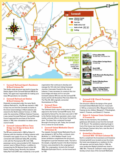

## **1 Cornwall Railroad Agent's Residence 30 Burd Coleman Rd.**

This Gothic-style structure was built to house the Station Agent of the Cornwall Railroad (RR) & his family. The agent was responsible for making sure many RR operations ran smoothly.

#### **2 Cornwall Railroad and Station 36 Burd Coleman Rd.**

Originally incorporated under the name North Lebanon Railroad Co., this RR was started in 1853 to haul iron ore from the Cornwall ore banks to the Union Canal landings in West Lebanon and onward to the North Lebanon Furnace. In 1870, under the ownership of William Coleman Freeman, it was named Cornwall Railroad. Cornwall Borough Council approved the purchase of the former station in 1952, then remodeled it to better serve council needs.

#### **3 Cornwall-Lebanon RR Iron Truss Bridge Iron Bridge & Stone Arch Burd Coleman Rd.**

The RR was constructed in 1882 by Robert H. Coleman with the intention of linking Lebanon with Cornwall's vast supply of iron ore. The line also connected with Colebrook Valley RR, providing a link with the Pennsylvania RR. Until 1928, passenger service was provided to R.H. Coleman's summer resort of Mount Gretna, in addition to transporting the PA National Guard to their Mt. Gretna Training Camp. Recently, the Lebanon Valley Rail Trail (LVRT) was created by a non-profit organization that continues to develop and manage the 14.5-mile trail, linking Conewago Junction, (Lancaster County) to the city of Lebanon. It was necessary to construct this iron truss bridge and stone arch to carry the Cornwall-Lebanon RR Line over the Cornwall RR tracks and the old Horseshoe Pike (now Alden St.). The Pike (Rt. 322) originally connected Hummelstown to Phila.

#### **4 Cornwall Store 50 Burd Coleman Rd.**

The Colemans built a store at this prime location adjacent to the former Cornwall RR tracks. First operated by Samuel Fox, the store was sold in 1927 to the Harkins family who operated a store, meat market, and post office in the former Cornwall Co. store. The lower floor contained Cornwall Borough's first brig (or jail). Today, the Cornwall Inn is a venue for social events.

# **5 Cornwall United Methodist Church 50 Freeman Dr.**

The majestic Cornwall United Methodist Church was designed in 1877 by Phila. architects John McArthur, Jr., & W. Bleddyn Powell. Local brown sandstone complements the structure's Donaghmore-quarried limestone walls. The bell in the steeple, originally housed in the Burd Coleman Furnace, was presented to the congregation in 1926. The congregation, formerly the Cornwall Methodist Episcopal Church, can be traced back to 1793.



**Bucher's Meeting House** 380 Schaeffer Road

**Robert H. Coleman Estate's** Stable - Carriage House West of Toy Town, Cornwall Road

## **6 Cornwall U.M. Church Parsonage 50 Freeman Dr.**

This structure reflects the design of the grand Cornwall United Methodist Church. It was built in 1910 as a memorial to Mrs. Margaret Coleman Freeman by her children: Margaret C. F. Buckingham, Isabel C. Freeman, and Edward C. Freeman.

## **7 Robert H. Coleman Estate Gatehouse 47 Freeman Dr.**

Unlike his two mansions, this sandstone gatehouse still stands across from the Cornwall U. M. Church. The sandstone watering trough in front of the house may have been relocated from the Coleman Freeman dairy farm, now the site of Fairview Golf Club.

# **8 Gristmiller's Residence – Cornwall Mill 101 Burd Coleman Rd.**

Built to compliment the brownstone and limestone trimmed gristmill once located across the street, this home was designed as a residence for the mill operator and his family. Built in 1798, the once-productive Batdorf gristmill was razed in 1965. Mrs. Thomas B. Coleman's newly organized Sunday school class of the Cornwall Methodist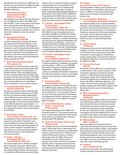Episcopal Church first met here in 1828. Later, the structure was purchased and remodeled to house the superintendent of mining operations of the Bethlehem Steel Corp.

#### **9 Burd Coleman Furnace Superintendent's Office 251 Burd Coleman Rd.**

This building's ranch-style architecture often fools one into thinking it was built in the 1960s rather than the 1870s. It was constructed for the purpose of the superintendent of the Burd Coleman Furnace to store company records. The Bethlehem Steel Corp. eventually re-purposed it as a worker's home, and it continues to serve as a private residence.

## **10 Burd Coleman Village 201-230 Burd Coleman Rd.**

Located in southwestern Cornwall, this hamlet was named after Thomas Bird Coleman, son of the iron baron Robert Coleman. The village was formed as a result of the nearby Burd Coleman hot blast furnaces built in 1872 by the Coleman family. The homes, constructed of local sandstone and limestone for the mine and furnace workers and their families, were owned and maintained by the mining companies until 1957.

## **11 Burd Coleman Grammar School 99 Ironmaster Rd.**

This brick former school house was constructed in the 1870s to meet the educational needs of the children of Burd Coleman, housing grades 1-8. Students desiring a high school diploma had to transfer to Lebanon High School until 1902, when Cornwall's first high school was built. In the 1920s, the building was acquired by the Bethlehem Steel Corp., and was gifted to the Cornwall Baptist Church community. It is now a private residence.

## **12 Cornwall Elementary School 45 Burd Coleman Rd.**

After the incorporation of the Cornwall Borough in 1926, it was deemed necessary to consolidate the area's five grammar schools. Replacing the original 1902 neo-classical red brick school, this stately new high school is constructed of locally quarried limestone. The structure opened officially for the 1928-29 school term, served grades 1-12, and offered a high school diploma. Today, it serves as an elementary school for the Cornwall-Lebanon School District.

# **13 Gatekeeper's House Cornwall Manor, Boyd St. & Rt. 419**

The gatekeeper's house was built in the 1870s to protect the grand estate of Cornwall's 'royal' Coleman families from unwanted outsiders. The house marked the distinct boundary between the miners and the ironmaster. This Gothic Revival style structure is constructed of pink sandstone with a slate roof and carpenter gingerbread accents at the gables.

#### **14 Grubb – Coleman – Buckingham Mansion Cornwall Manor, Manor Rd.**

This grand mansion, which reflected a Georgian style architecture, was built in 1772 by Curttis Grubb, son of Peter Grubb. By 1798, the mansion was owned by Robert Coleman, who then gave it to his eldest son William three years later. Robert Coleman never occupied the residence, however, three generations of his family lived here and transformed the home into an Italianate-style mansion in the mid-1800s. After the death of Robert Coleman's great granddaughter, Margaret C.F. Buckingham, it was sold to a group of Methodist clergy and laymen in 1949. It was to be used as a retirement home for the ministers and their wives. Today, the estate is known as Cornwall Manor.

#### **15 Coleman – Buckingham Estate Carriage House Cornwall Manor, Manor Rd.**

Once called the Hackney Stable, this imposing Stick-Style Victorian red sandstone structure was built in the 1880s for the Robert W. Coleman heirs. Its Romanesque-Revival style edifice was designed by J. McArthur Jr. and W.B. Powell, who were best known for designing Philadelphia's City Hall and Harrisburg's RR Station. Today, known as Bradley Hall of Cornwall Manor, this massive carriage house was named after Thomas Bradley, a renowned businessman and charitable layman of the Philadelphia Methodist Conference.

#### **16 Coleman –Buckingham Estate Greenhouse Cornwall Manor, Meadow Dr.**

The original Coleman family greenhouse was built to assist the gardeners in maintaining the estate's terraced gardens. In 1881, at a cost of \$10,000, Miss Sarah H. Coleman commissioned Bartlett Hayward & Co. of Baltimore, Maryland, to construct a grand Gothic-Revival style conservatory with native red sandstone, numerous arched-glass expanses, and ornamental cresting capping the roof line.

## **17 Paymaster's Office Cornwall Manor, Rexmont Rd.**

Following the formation of the Cornwall Ore Bank Co. in 1864, this pink sandstone building served as the Paymaster Office for the Coleman estate and the Cornwall Iron Co. This unique Gothic-Revival structure, with lavish gingerbread ornamentation, truly reflected the Coleman's high place in society. It currently serves as an art gallery for Cornwall Manor's residents.

#### **18 Cornwall Ore Bank Co. Loading Pocket – Crusher Plant 64 Rexmont Rd.**

This massive building was built in 1909 for the Cornwall Ore Bank Co. The structure housed cars of iron ore that were transported via the Cornwall RR to Lebanon's concentrator plant. Today this building houses PRL Industries.

#### **19 Cornwall Iron Furnace Historic Site 94 Rexmont Rd.**

This cold blast charcoal iron furnace was originally built in 1742 by Peter Grubb, a stone mason from Chester County. The industrious iron master Robert Coleman acquired the furnace in 1798. His heirs rebuilt and improved the furnace in a Gothic-Revival style in the late 1840s. The furnace's contribution to the iron industry played an important role in America's rise to be a powerful industrial nation. It operated continuously from 1742 to 1883. Since 1932, it has been owned and administered by the Pennsylvania Historical & Museum Commission.

## **20 Abattoir Cornwall Iron Furnace Site, Boyd St.**

This pink sandstone building, with its distinctive quatrefoil windows, is a unique Gothic-Style structure built circa 1840s. It is truly a gem of the Coleman Estate, and once served as a smokehouse and butcher shop.

## **21 Cornwall Stable –Mule Barn Cornwall Manor, Rexmont Rd. & Boyd St.**

An important building of the ironmaster plantation, this large L-shaped sandstone structure was used to quarter the mules and horses necessary for work in the open pit mine and farm fields. The architectural features are exceptional for this functional building and include: chevron-patterned wooden doors, horseshoe-shaped lentils, and second story double-arch doors accented with decorative rosettes.

#### **22 Jackson House 220 Boyd St.**

This expansive stone structure was formally the residence of James P. Jackson, the last manager of the Cornwall Iron Furnace, and his sister Letitia A. Jackson, an ardent supporter of the Coleman women's charity works. It later served as offices for the Bethlehem Steel Corp.'s reign in Cornwall from the 1920s to the 1970s.

## **23 Cornwall Ore Banks Boyd St.**

First mined in 1742 on 400 acres of land purchased by Peter Grubb in 1734, the land consisted of 3 hills of abundant magnetite ore, limestone, and other minerals. In 1798, ownership was transferred to the Coleman families, when it held the distinction of having the greatest iron ore deposit east of Lake Superior. By 1920, the Bethlehem Steel Corp. took control of all the Coleman mining and real estate holdings. Flooding from Tropical Storm Agnes in 1972 forced operations to cease. It is known today as Miners Lake.

#### **24 Minersvillage Boarding House – Mennonite Church 303 Boyd St.**

This large wooden building is noted to have been the first boarding house built for the workers employed by the Cornwall Ore Bank Co. before construction of the familiar stone homes. It was first occupied by single men passing through the area looking for short-term employment. In 1931, a Mennonite congregation met and worshipped here for nearly 70 years before relocating to a new structure outside the village. Today, it serves as a private residence.

## **25 Minersvillage 298 to 371 Boyd St.**

Beginning in 1869, The Cornwall Ore Bank Co. constructed and maintained limestone homes in the quaint town known as Miners village. It was believed that providing more permanent structures to house immigrant miners and their families would create longer-lasting employees. Also, at the south end of the town, brick and wooden structures were built, circa 1870, for the miners of the Robesonia Iron Co. which also mined in Cornwall's open pit.

# **26 Paradise**

# **107 to 139 Rexmont Rd.**

Locally known as Paradise, this small grouping of homes was built to house the workers of the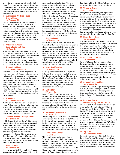Anthracite Furnaces and open pit mine located nearby. There is no documentation for the naming of Paradise, except for archival references in deeds of the Coleman/Buckingham Estate, which used the word to describe a small area of the Ironmaster's Mansion Tract.

#### **27 Buckingham Workers' House – Dr. Zerr Home 107 Rexmont Rd.**

This red sandstone double home overlooked the Anthracite Furnaces, and later, the massive ore roasters. This mid-19th century Gothic-Revival home once housed Mrs. Buckingham's head gardener Joseph Ferry and his family. Later, it was occupied by Mrs. Buckingham's teamster and night watchman Paul Border and his family. In 1952, it was purchased by Rev. Dr. Levi Zerr, founder of the Cornwall Methodist Church Home. It is currently a private residence.

#### **28 Anthracite Furnace Superintendent's Office 150 Boyd St.**

Built in 1865, the former manager's office of the Anthracite Furnaces sits high on a hill, west of the furnaces. Upon the closing of the furnaces and ore roasters, this charming Gothic brownstone structure was remodeled into a private residence for the upper-management of the Bethlehem Steel Corp. in 1916. It remains a private residence today.

#### **29 Anthracite Village 110 to 150 Anthracite Rd.**

Locally called Goosetown, the village derived its name from the prevalent geese that were raised in the backyards of its residents. Anthracite developed as means for providing company housing for the immigrant workers of the nearby Anthracite furnace complex, constructed in 1851 by the Coleman family. These 'hot blast' furnaces led the way of making 'cold blast' furnaces obsolete. The sets of brick homes along the main street were possibly built for workers of the Lackawanna Iron and Steel Co., circa 1890s, of bricks that may have been fired in kilns on site.

## **30 Grubb Row 218 to 238 Rexmont Rd.**

With the construction of the large ore roasters in nearby Anthracite, the Lackawanna Iron and Steel Co. erected these brick housing units in 1890 to provide homes for the newly-arrived Eastern European and Italian immigrant workers and their families of the Cornwall Anthracite Furnaces.

## **31 Cornwall Bakery – Wenger's Store 268 Rexmont Rd.**

In 1885, German immigrant Henry T. Oltenbuerstel established a small business known as Cornwall Bakery. Here, fresh bread, cakes, and pretzels were baked and sold throughout this mining community. By 1892, a third floor hall was added to the building where the men's fraternal organization The Knights of the Mystic Chain met. Upon Oltenbuerstel's death in 1922 and until the 1980s, the Wenger family operated their grocery store here. Since then, this commodious structure serves as private apartments.

## **32 Rexmont Hotel 285 Rexmont Rd.**

The hotel was built in 1887 by Frederick Carpenter, who was once a Lebanon County sheriff, on land

purchased from his brother John. This large 3-½ story structure, originally known as the Rexmont House, remained in the Carpenter family, who continued the hostelry business until 1907. It also housed the barbershop, post office, and Justice of the Peace. The Knights of the Mystic Chain, Patriotic Order Sons of America, and Golden Eagle Band, met in the attic of the hotel. Clinton and Laura Smith purchased the building in 1907 from George Trafford who owned the establishment for less than a year. The Smiths changed the name of their new family enterprise to the Rexmont Hotel. During their 50-year ownership, rooms were no longer rented to travelers. In 1965, Robert & Joan Boyer purchased the hotel, and ran the business as Boyer's Café for the next 50 years.

# **33 Noggle's Factory 295 Rexmont Rd.**

Mr. Willaim H. Noggle, once a foreman at the Cornwall Iron Furnace, ventured into a new career of shirt manufacturing in 1903. It proved to be profitable, and in 1914, sons Fred and William joined as partners in operating this successful garment business. They expanded their factory to nearby towns and as far as New York City and Los Angeles. During both World Wars, they manufactured U. S. Army shirts and hospital pajamas. The family ceased operations in 1959. During the 1950s, splendid gardens beautified the property.

## **34 Cyrus Rex Mansion 299 Rexmont Rd.**

Originally constructed in 1875 in an impressive Italianate style, this mansion was built for Cyrus Rex, the namesake of the village of Rexmont, and his niece Susan Amanda Bucher. Cyrus was the great grandson of Alexander Schaeffer, the founder of nearby Schaefferstown. The home remained in the family until 1941, when it was remodeled in its Federal style.

#### **35 Klett's Store 301 Main St.**

In 1899, Samuel E. Fox, a leading merchant in Lebanon County, opened a general mercantile store in Rexmont. Fox and his general manager Aaron F. Klett formed a partnership. Klett assumed full ownership in 1902 until his death in 1941. His son assumed ownership until 1965, when it was sold to the Mission Fellowship, which still exists today.

## **36 Rexmont Cigar Company 102 Store Ln.**

The long forgotten and short-lived business known as the Rexmont Cigar Co. started in 1899. Managed by Norman L. Shirk, the company was known for its high-grade cigars. By 1901, competition from others in the county forced Shirk to relocate to Lebanon as The Standard Cigar Co. This factory was then quickly converted into a private dwelling.

#### **37 Templeman's Chapel 112 Store Ln.**

This chapel was named in honor of Conrad Templeman, father of the Reformed Church located throughout the Lebanon Valley. It was built in 1886 as a non-denominational Sunday School Mission. Two years later, a German Reformed congregation organized and met there. In 1971, the Chapel closed after the congregation merged with nearby St. Paul's Reformed Church, forming the

Quentin United Church of Christ. Today, the former temple and chapel serves as a private home.

#### **38 Village of Rexmont Rexmont Rd.**

During Cornwall Furnace's years of production, the once heavily forested area on the eastern edge of Cornwall, owned by the Coleman family, was timbered to supply the essential ingredient of charcoal for iron making. This area became a small community through the leadership of the merchant and banker Cyrus Rex, its namesake. Unique to the surrounding mining towns, Rexmont was created for residents who owned small businesses and their own homes, rather than paying

rent and being tied to the Cornwall Ore Bank Co.

#### **39 Henry Shiner Home 324 Rexmont Rd.**

This home was built in 1886 for Henry Shiner, an engineer at the Burd Coleman Furnace. He attained his mortgage from Cyrus Rex who helped provide mortgages to buyers of land plots. This allowed some furnace workers to be free of the mining company's hand. This home best represents the surrounding homes all built in the 1880s.

## **40 Rexmont E.C. Church 328 Rexmont Rd.**

For over 100 years, the Rexmont Evangelical Congregational Church has provided a place of worship for residents. In 1894, a small group of German-speaking people met to plan for their new church, which was built a year later. In 1928, the Church became a member of the United Evangelical Church. Over the years, the building has had a few appearance changes, including the addition of stained glass windows in 1952.

## **41 Cornwall Lutheran Chapel 180 Schaeffer Rd.**

The Cornwall Lutheran Chapel was designed and built in 1886 by the Philadelphia architectural firm Charles W. Bolton & Sons. The congregation of this unique chapel grew out of Lebanon's Salem Lutheran Church. The Cornwall congregation died out circa 1918.

# **42 Root Beer Barrel Lebanon Valley Rail Trail, Rt. 419**

This bit of roadside Americana rests upon the former site of the Cornwall-Lebanon RR Station. The station was designed in 1889 by Hewitt & Hewitt of Phila. for Robert H. Coleman. The barrel is one of two that were constructed by William Schwarz and Larry Williams in 1969. Previously located on the east side of Route 72 near the entrance to Spring Hill Acres, the two men sold light snacks and root beer to travelers until 1977. After restoration, this barrel was relocated to its present site where it serves as a visitors center for the Lebanon Valley Rails to Trails.

#### **43 Toy Town 2500–2566 Cornwall Rd.**

Built for the management of the Bethlehem Steel Corp., these "catalog" homes arrived by rail and were assembled on site in 1926. The town resembles a collection of dwellings similar to a miniature toy village, thus providing its name. Bethlehem Steel sold off these homes in 1957 for private ownership.